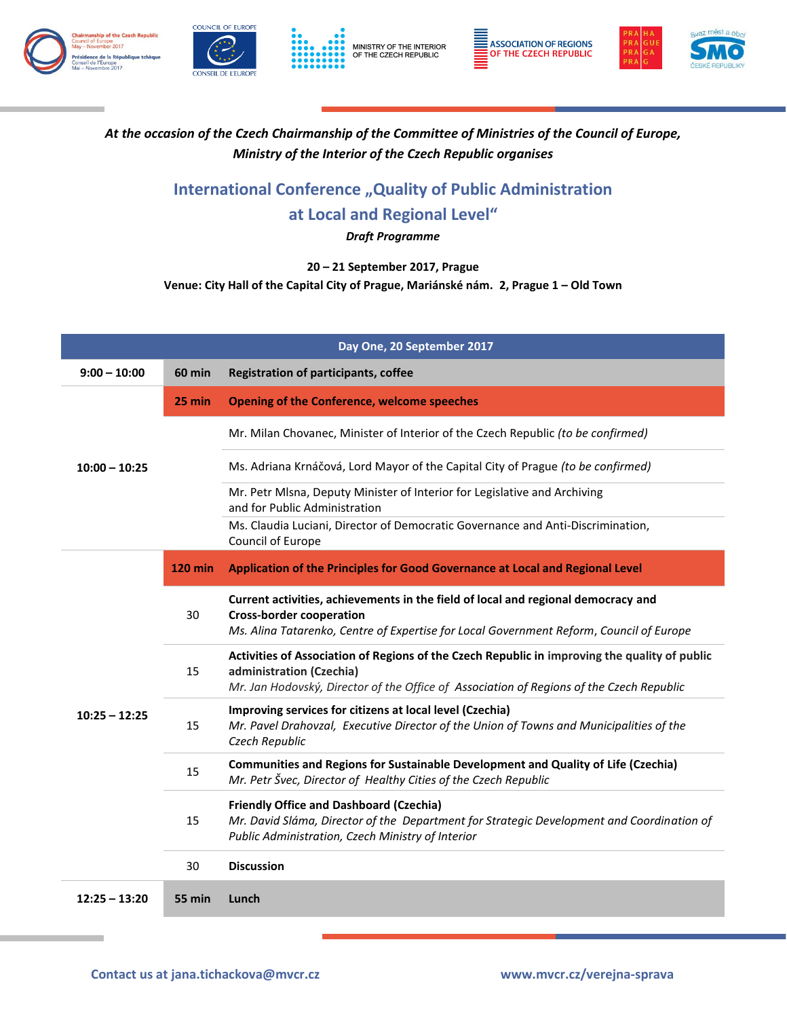









## *At the occasion of the Czech Chairmanship of the Committee of Ministries of the Council of Europe, Ministry of the Interior of the Czech Republic organises*

## **International Conference "Quality of Public Administration at Local and Regional Level"**

*Draft Programme*

**20 – 21 September 2017, Prague**

**Venue: City Hall of the Capital City of Prague, Mariánské nám. 2, Prague 1 – Old Town**

|                 |                | Day One, 20 September 2017                                                                                                                                                                                            |
|-----------------|----------------|-----------------------------------------------------------------------------------------------------------------------------------------------------------------------------------------------------------------------|
| $9:00 - 10:00$  | <b>60 min</b>  | <b>Registration of participants, coffee</b>                                                                                                                                                                           |
|                 | 25 min         | <b>Opening of the Conference, welcome speeches</b>                                                                                                                                                                    |
| $10:00 - 10:25$ |                | Mr. Milan Chovanec, Minister of Interior of the Czech Republic (to be confirmed)                                                                                                                                      |
|                 |                | Ms. Adriana Krnáčová, Lord Mayor of the Capital City of Prague (to be confirmed)                                                                                                                                      |
|                 |                | Mr. Petr Mlsna, Deputy Minister of Interior for Legislative and Archiving<br>and for Public Administration                                                                                                            |
|                 |                | Ms. Claudia Luciani, Director of Democratic Governance and Anti-Discrimination,<br>Council of Europe                                                                                                                  |
|                 | <b>120 min</b> | Application of the Principles for Good Governance at Local and Regional Level                                                                                                                                         |
|                 | 30             | Current activities, achievements in the field of local and regional democracy and<br><b>Cross-border cooperation</b><br>Ms. Alina Tatarenko, Centre of Expertise for Local Government Reform, Council of Europe       |
|                 | 15             | Activities of Association of Regions of the Czech Republic in improving the quality of public<br>administration (Czechia)<br>Mr. Jan Hodovský, Director of the Office of Association of Regions of the Czech Republic |
| $10:25 - 12:25$ | 15             | Improving services for citizens at local level (Czechia)<br>Mr. Pavel Drahovzal, Executive Director of the Union of Towns and Municipalities of the<br>Czech Republic                                                 |
|                 | 15             | Communities and Regions for Sustainable Development and Quality of Life (Czechia)<br>Mr. Petr Švec, Director of Healthy Cities of the Czech Republic                                                                  |
|                 | 15             | <b>Friendly Office and Dashboard (Czechia)</b><br>Mr. David Sláma, Director of the Department for Strategic Development and Coordination of<br>Public Administration, Czech Ministry of Interior                      |
|                 | 30             | <b>Discussion</b>                                                                                                                                                                                                     |
| $12:25 - 13:20$ | 55 min         | Lunch                                                                                                                                                                                                                 |